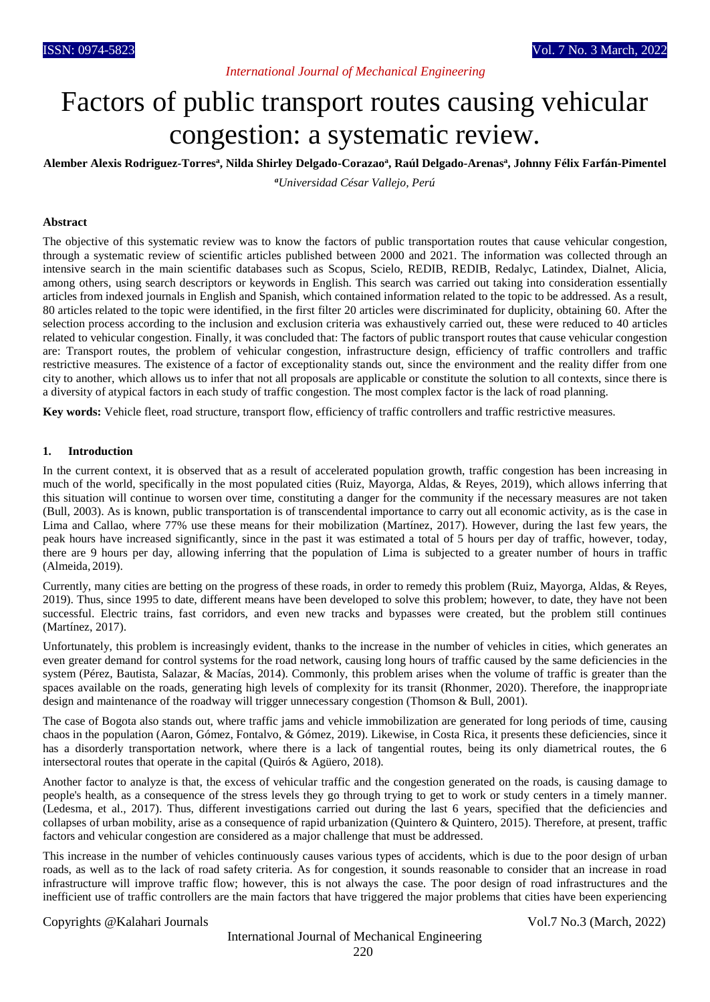## *International Journal of Mechanical Engineering*

# Factors of public transport routes causing vehicular congestion: a systematic review.

**Alember Alexis Rodriguez-Torres<sup>a</sup> , Nilda Shirley Delgado-Corazao<sup>a</sup> , Raúl Delgado-Arenas<sup>a</sup> , Johnny Félix Farfán-Pimentel** *<sup>a</sup>Universidad César Vallejo, Perú*

#### **Abstract**

The objective of this systematic review was to know the factors of public transportation routes that cause vehicular congestion, through a systematic review of scientific articles published between 2000 and 2021. The information was collected through an intensive search in the main scientific databases such as Scopus, Scielo, REDIB, REDIB, Redalyc, Latindex, Dialnet, Alicia, among others, using search descriptors or keywords in English. This search was carried out taking into consideration essentially articles from indexed journals in English and Spanish, which contained information related to the topic to be addressed. As a result, 80 articles related to the topic were identified, in the first filter 20 articles were discriminated for duplicity, obtaining 60. After the selection process according to the inclusion and exclusion criteria was exhaustively carried out, these were reduced to 40 articles related to vehicular congestion. Finally, it was concluded that: The factors of public transport routes that cause vehicular congestion are: Transport routes, the problem of vehicular congestion, infrastructure design, efficiency of traffic controllers and traffic restrictive measures. The existence of a factor of exceptionality stands out, since the environment and the reality differ from one city to another, which allows us to infer that not all proposals are applicable or constitute the solution to all contexts, since there is a diversity of atypical factors in each study of traffic congestion. The most complex factor is the lack of road planning.

**Key words:** Vehicle fleet, road structure, transport flow, efficiency of traffic controllers and traffic restrictive measures.

#### **1. Introduction**

In the current context, it is observed that as a result of accelerated population growth, traffic congestion has been increasing in much of the world, specifically in the most populated cities (Ruiz, Mayorga, Aldas, & Reyes, 2019), which allows inferring that this situation will continue to worsen over time, constituting a danger for the community if the necessary measures are not taken (Bull, 2003). As is known, public transportation is of transcendental importance to carry out all economic activity, as is the case in Lima and Callao, where 77% use these means for their mobilization (Martínez, 2017). However, during the last few years, the peak hours have increased significantly, since in the past it was estimated a total of 5 hours per day of traffic, however, today, there are 9 hours per day, allowing inferring that the population of Lima is subjected to a greater number of hours in traffic (Almeida, 2019).

Currently, many cities are betting on the progress of these roads, in order to remedy this problem (Ruiz, Mayorga, Aldas, & Reyes, 2019). Thus, since 1995 to date, different means have been developed to solve this problem; however, to date, they have not been successful. Electric trains, fast corridors, and even new tracks and bypasses were created, but the problem still continues (Martínez, 2017).

Unfortunately, this problem is increasingly evident, thanks to the increase in the number of vehicles in cities, which generates an even greater demand for control systems for the road network, causing long hours of traffic caused by the same deficiencies in the system (Pérez, Bautista, Salazar, & Macías, 2014). Commonly, this problem arises when the volume of traffic is greater than the spaces available on the roads, generating high levels of complexity for its transit (Rhonmer, 2020). Therefore, the inappropriate design and maintenance of the roadway will trigger unnecessary congestion (Thomson & Bull, 2001).

The case of Bogota also stands out, where traffic jams and vehicle immobilization are generated for long periods of time, causing chaos in the population (Aaron, Gómez, Fontalvo, & Gómez, 2019). Likewise, in Costa Rica, it presents these deficiencies, since it has a disorderly transportation network, where there is a lack of tangential routes, being its only diametrical routes, the 6 intersectoral routes that operate in the capital (Quirós & Agüero, 2018).

Another factor to analyze is that, the excess of vehicular traffic and the congestion generated on the roads, is causing damage to people's health, as a consequence of the stress levels they go through trying to get to work or study centers in a timely manner. (Ledesma, et al., 2017). Thus, different investigations carried out during the last 6 years, specified that the deficiencies and collapses of urban mobility, arise as a consequence of rapid urbanization (Quintero & Quintero, 2015). Therefore, at present, traffic factors and vehicular congestion are considered as a major challenge that must be addressed.

This increase in the number of vehicles continuously causes various types of accidents, which is due to the poor design of urban roads, as well as to the lack of road safety criteria. As for congestion, it sounds reasonable to consider that an increase in road infrastructure will improve traffic flow; however, this is not always the case. The poor design of road infrastructures and the inefficient use of traffic controllers are the main factors that have triggered the major problems that cities have been experiencing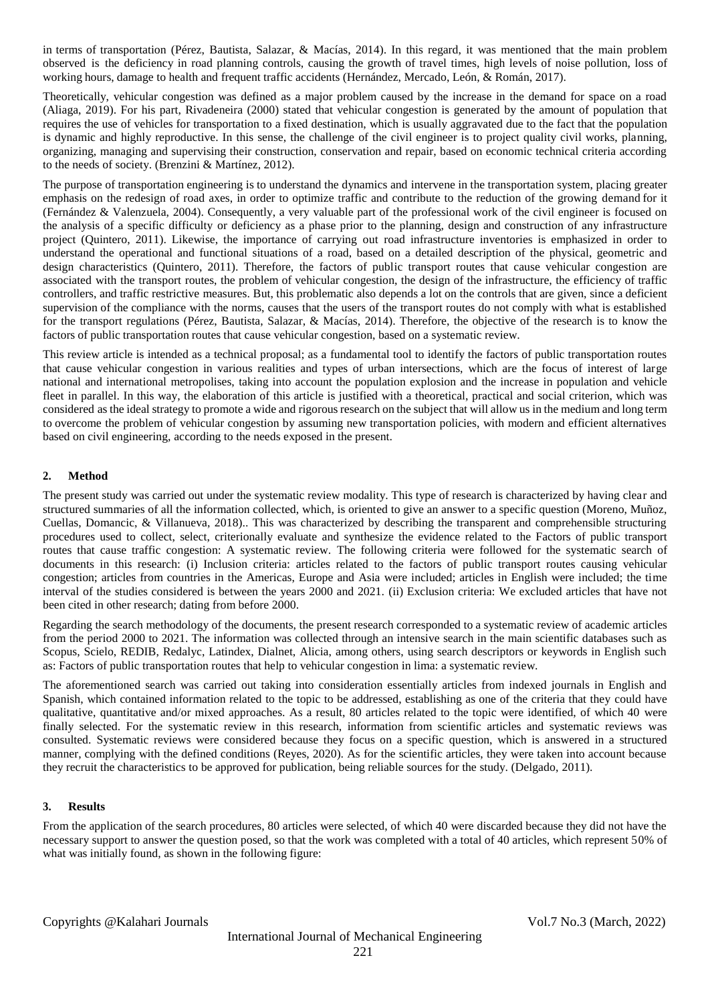in terms of transportation (Pérez, Bautista, Salazar, & Macías, 2014). In this regard, it was mentioned that the main problem observed is the deficiency in road planning controls, causing the growth of travel times, high levels of noise pollution, loss of working hours, damage to health and frequent traffic accidents (Hernández, Mercado, León, & Román, 2017).

Theoretically, vehicular congestion was defined as a major problem caused by the increase in the demand for space on a road (Aliaga, 2019). For his part, Rivadeneira (2000) stated that vehicular congestion is generated by the amount of population that requires the use of vehicles for transportation to a fixed destination, which is usually aggravated due to the fact that the population is dynamic and highly reproductive. In this sense, the challenge of the civil engineer is to project quality civil works, planning, organizing, managing and supervising their construction, conservation and repair, based on economic technical criteria according to the needs of society. (Brenzini & Martínez, 2012).

The purpose of transportation engineering is to understand the dynamics and intervene in the transportation system, placing greater emphasis on the redesign of road axes, in order to optimize traffic and contribute to the reduction of the growing demand for it (Fernández & Valenzuela, 2004). Consequently, a very valuable part of the professional work of the civil engineer is focused on the analysis of a specific difficulty or deficiency as a phase prior to the planning, design and construction of any infrastructure project (Quintero, 2011). Likewise, the importance of carrying out road infrastructure inventories is emphasized in order to understand the operational and functional situations of a road, based on a detailed description of the physical, geometric and design characteristics (Quintero, 2011). Therefore, the factors of public transport routes that cause vehicular congestion are associated with the transport routes, the problem of vehicular congestion, the design of the infrastructure, the efficiency of traffic controllers, and traffic restrictive measures. But, this problematic also depends a lot on the controls that are given, since a deficient supervision of the compliance with the norms, causes that the users of the transport routes do not comply with what is established for the transport regulations (Pérez, Bautista, Salazar, & Macías, 2014). Therefore, the objective of the research is to know the factors of public transportation routes that cause vehicular congestion, based on a systematic review.

This review article is intended as a technical proposal; as a fundamental tool to identify the factors of public transportation routes that cause vehicular congestion in various realities and types of urban intersections, which are the focus of interest of large national and international metropolises, taking into account the population explosion and the increase in population and vehicle fleet in parallel. In this way, the elaboration of this article is justified with a theoretical, practical and social criterion, which was considered as the ideal strategy to promote a wide and rigorous research on the subject that will allow us in the medium and long term to overcome the problem of vehicular congestion by assuming new transportation policies, with modern and efficient alternatives based on civil engineering, according to the needs exposed in the present.

## **2. Method**

The present study was carried out under the systematic review modality. This type of research is characterized by having clear and structured summaries of all the information collected, which, is oriented to give an answer to a specific question (Moreno, Muñoz, Cuellas, Domancic, & Villanueva, 2018).. This was characterized by describing the transparent and comprehensible structuring procedures used to collect, select, criterionally evaluate and synthesize the evidence related to the Factors of public transport routes that cause traffic congestion: A systematic review. The following criteria were followed for the systematic search of documents in this research: (i) Inclusion criteria: articles related to the factors of public transport routes causing vehicular congestion; articles from countries in the Americas, Europe and Asia were included; articles in English were included; the time interval of the studies considered is between the years 2000 and 2021. (ii) Exclusion criteria: We excluded articles that have not been cited in other research; dating from before 2000.

Regarding the search methodology of the documents, the present research corresponded to a systematic review of academic articles from the period 2000 to 2021. The information was collected through an intensive search in the main scientific databases such as Scopus, Scielo, REDIB, Redalyc, Latindex, Dialnet, Alicia, among others, using search descriptors or keywords in English such as: Factors of public transportation routes that help to vehicular congestion in lima: a systematic review.

The aforementioned search was carried out taking into consideration essentially articles from indexed journals in English and Spanish, which contained information related to the topic to be addressed, establishing as one of the criteria that they could have qualitative, quantitative and/or mixed approaches. As a result, 80 articles related to the topic were identified, of which 40 were finally selected. For the systematic review in this research, information from scientific articles and systematic reviews was consulted. Systematic reviews were considered because they focus on a specific question, which is answered in a structured manner, complying with the defined conditions (Reyes, 2020). As for the scientific articles, they were taken into account because they recruit the characteristics to be approved for publication, being reliable sources for the study. (Delgado, 2011).

#### **3. Results**

From the application of the search procedures, 80 articles were selected, of which 40 were discarded because they did not have the necessary support to answer the question posed, so that the work was completed with a total of 40 articles, which represent 50% of what was initially found, as shown in the following figure: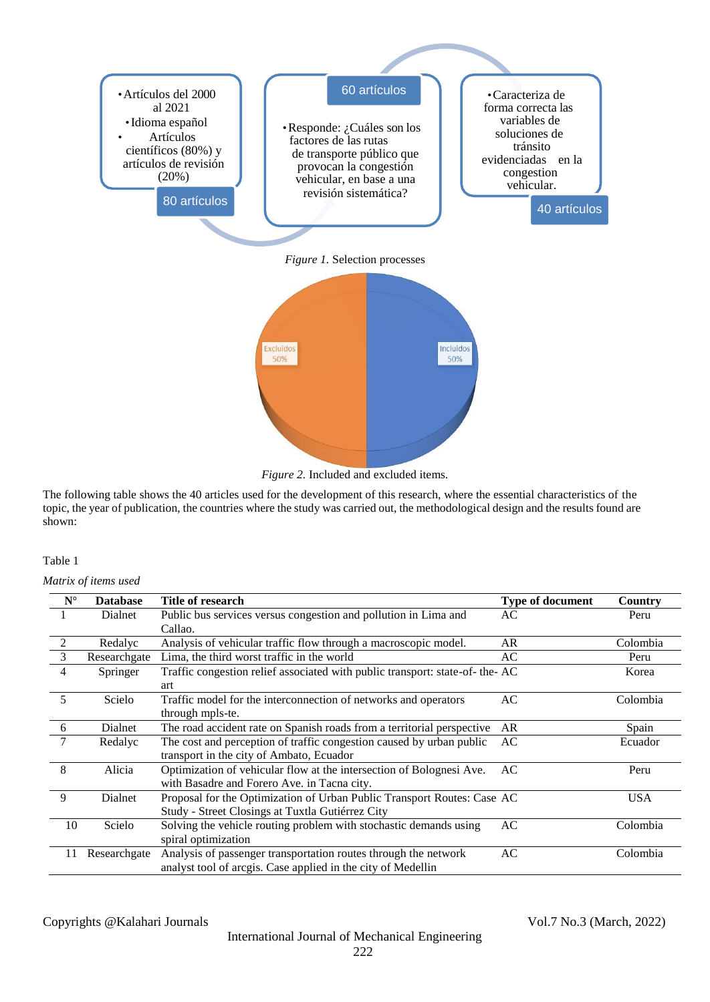

|  |  | <i>Figure 2.</i> Included and excluded items. |  |
|--|--|-----------------------------------------------|--|

The following table shows the 40 articles used for the development of this research, where the essential characteristics of the topic, the year of publication, the countries where the study was carried out, the methodological design and the results found are shown:

#### Table 1

*Matrix of items used*

| $N^{\circ}$    | <b>Database</b> | Title of research                                                           | Type of document | <b>Country</b> |
|----------------|-----------------|-----------------------------------------------------------------------------|------------------|----------------|
|                | Dialnet         | Public bus services versus congestion and pollution in Lima and             | AC               | Peru           |
|                |                 | Callao.                                                                     |                  |                |
| $\overline{2}$ | Redalyc         | Analysis of vehicular traffic flow through a macroscopic model.             | AR               | Colombia       |
| $\overline{3}$ | Researchgate    | Lima, the third worst traffic in the world                                  | AC               | Peru           |
| $\overline{4}$ | Springer        | Traffic congestion relief associated with public transport: state-of-the-AC |                  | Korea          |
|                |                 | art                                                                         |                  |                |
| -5             | Scielo          | Traffic model for the interconnection of networks and operators             | AC               | Colombia       |
|                |                 | through mpls-te.                                                            |                  |                |
| 6              | Dialnet         | The road accident rate on Spanish roads from a territorial perspective      | AR               | Spain          |
|                | Redalyc         | The cost and perception of traffic congestion caused by urban public        | AC               | Ecuador        |
|                |                 | transport in the city of Ambato, Ecuador                                    |                  |                |
| -8             | Alicia          | Optimization of vehicular flow at the intersection of Bolognesi Ave.        | AC               | Peru           |
|                |                 | with Basadre and Forero Ave. in Tacna city.                                 |                  |                |
| 9              | Dialnet         | Proposal for the Optimization of Urban Public Transport Routes: Case AC     |                  | <b>USA</b>     |
|                |                 | Study - Street Closings at Tuxtla Gutiérrez City                            |                  |                |
| 10             | Scielo          | Solving the vehicle routing problem with stochastic demands using           | AC               | Colombia       |
|                |                 | spiral optimization                                                         |                  |                |
| 11             | Researchgate    | Analysis of passenger transportation routes through the network             | AC               | Colombia       |
|                |                 | analyst tool of arcgis. Case applied in the city of Medellin                |                  |                |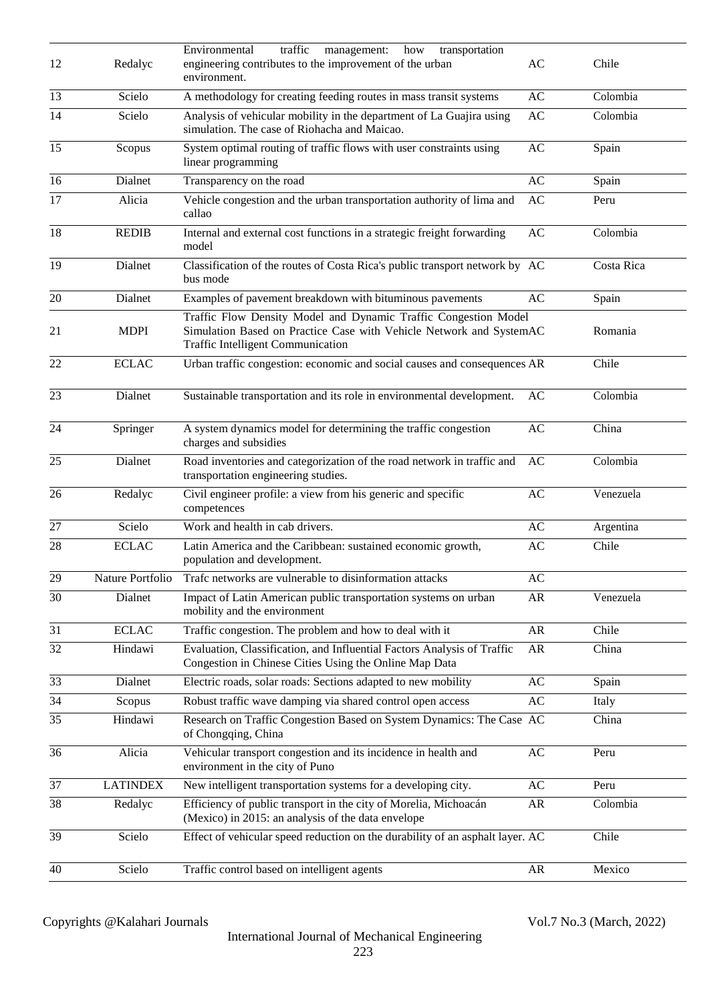| 12              | Redalyc          | Environmental<br>traffic<br>how<br>transportation<br>management:<br>engineering contributes to the improvement of the urban<br>environment.                                        | AC                     | Chile      |
|-----------------|------------------|------------------------------------------------------------------------------------------------------------------------------------------------------------------------------------|------------------------|------------|
| 13              | Scielo           | A methodology for creating feeding routes in mass transit systems                                                                                                                  | AC                     | Colombia   |
| 14              | Scielo           | Analysis of vehicular mobility in the department of La Guajira using<br>AC<br>simulation. The case of Riohacha and Maicao.                                                         |                        | Colombia   |
| 15              | Scopus           | System optimal routing of traffic flows with user constraints using<br>linear programming                                                                                          | AC                     | Spain      |
| 16              | Dialnet          | Transparency on the road                                                                                                                                                           | AC                     | Spain      |
| $\overline{17}$ | Alicia           | Vehicle congestion and the urban transportation authority of lima and<br>callao                                                                                                    | AC                     | Peru       |
| $\overline{18}$ | <b>REDIB</b>     | Internal and external cost functions in a strategic freight forwarding<br>model                                                                                                    | AC                     | Colombia   |
| 19              | Dialnet          | Classification of the routes of Costa Rica's public transport network by AC<br>bus mode                                                                                            |                        | Costa Rica |
| 20              | Dialnet          | Examples of pavement breakdown with bituminous pavements                                                                                                                           | AC                     | Spain      |
| 21              | <b>MDPI</b>      | Traffic Flow Density Model and Dynamic Traffic Congestion Model<br>Simulation Based on Practice Case with Vehicle Network and SystemAC<br><b>Traffic Intelligent Communication</b> |                        | Romania    |
| 22              | <b>ECLAC</b>     | Urban traffic congestion: economic and social causes and consequences AR                                                                                                           |                        | Chile      |
| 23              | Dialnet          | Sustainable transportation and its role in environmental development.                                                                                                              | AC                     | Colombia   |
| 24              | Springer         | A system dynamics model for determining the traffic congestion<br>charges and subsidies                                                                                            | AC                     | China      |
| 25              | Dialnet          | Road inventories and categorization of the road network in traffic and<br>transportation engineering studies.                                                                      | AC                     | Colombia   |
| 26              | Redalyc          | Civil engineer profile: a view from his generic and specific<br>competences                                                                                                        | AC                     | Venezuela  |
| 27              | Scielo           | Work and health in cab drivers.                                                                                                                                                    | AC                     | Argentina  |
| 28              | <b>ECLAC</b>     | Latin America and the Caribbean: sustained economic growth,<br>population and development.                                                                                         | AC                     | Chile      |
| 29              | Nature Portfolio | Trafc networks are vulnerable to disinformation attacks                                                                                                                            | $\mathbf{A}\mathbf{C}$ |            |
| 30              | Dialnet          | Impact of Latin American public transportation systems on urban<br>mobility and the environment                                                                                    | AR                     | Venezuela  |
| 31              | <b>ECLAC</b>     | Traffic congestion. The problem and how to deal with it                                                                                                                            | AR                     | Chile      |
| 32              | Hindawi          | Evaluation, Classification, and Influential Factors Analysis of Traffic<br>Congestion in Chinese Cities Using the Online Map Data                                                  | AR                     | China      |
| 33              | Dialnet          | Electric roads, solar roads: Sections adapted to new mobility                                                                                                                      | AC                     | Spain      |
| 34              | Scopus           | Robust traffic wave damping via shared control open access                                                                                                                         | AC                     | Italy      |
| 35              | Hindawi          | Research on Traffic Congestion Based on System Dynamics: The Case AC<br>of Chongqing, China                                                                                        |                        | China      |
| 36              | Alicia           | Vehicular transport congestion and its incidence in health and<br>environment in the city of Puno                                                                                  | $\rm AC$               | Peru       |
| 37              | <b>LATINDEX</b>  | New intelligent transportation systems for a developing city.                                                                                                                      | AC                     | Peru       |
| 38              | Redalyc          | Efficiency of public transport in the city of Morelia, Michoacán<br>(Mexico) in 2015: an analysis of the data envelope                                                             | AR                     | Colombia   |
| 39              | Scielo           | Effect of vehicular speed reduction on the durability of an asphalt layer. AC                                                                                                      |                        | Chile      |
| 40              | Scielo           | Traffic control based on intelligent agents                                                                                                                                        | AR                     | Mexico     |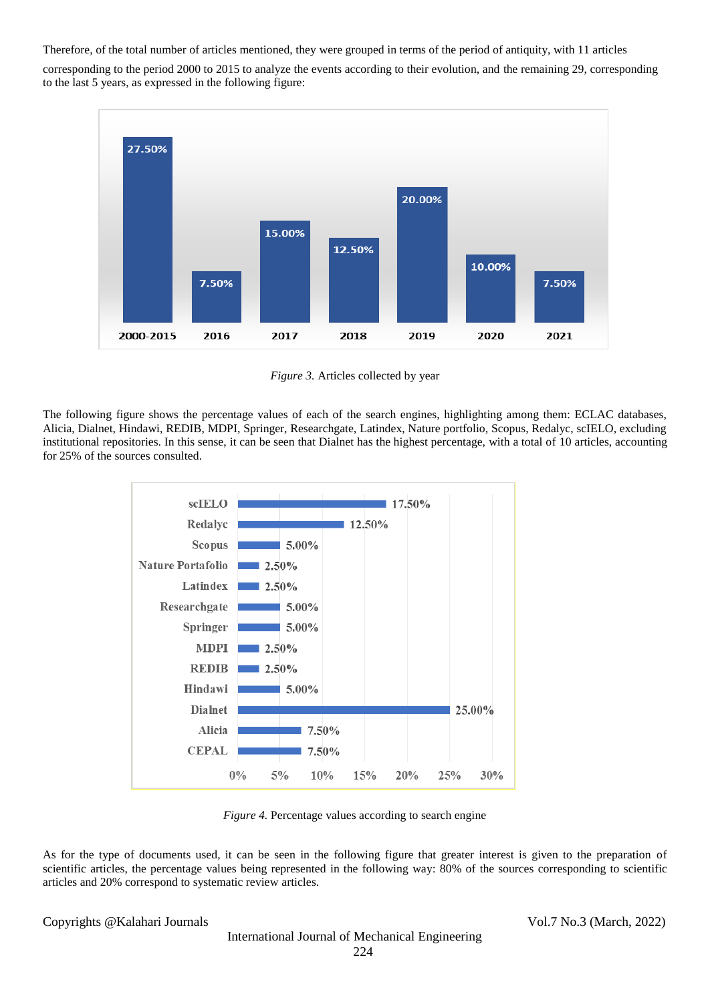Therefore, of the total number of articles mentioned, they were grouped in terms of the period of antiquity, with 11 articles

corresponding to the period 2000 to 2015 to analyze the events according to their evolution, and the remaining 29, corresponding to the last 5 years, as expressed in the following figure:



*Figure 3.* Articles collected by year

The following figure shows the percentage values of each of the search engines, highlighting among them: ECLAC databases, Alicia, Dialnet, Hindawi, REDIB, MDPI, Springer, Researchgate, Latindex, Nature portfolio, Scopus, Redalyc, scIELO, excluding institutional repositories. In this sense, it can be seen that Dialnet has the highest percentage, with a total of 10 articles, accounting for 25% of the sources consulted.



*Figure 4.* Percentage values according to search engine

As for the type of documents used, it can be seen in the following figure that greater interest is given to the preparation of scientific articles, the percentage values being represented in the following way: 80% of the sources corresponding to scientific articles and 20% correspond to systematic review articles.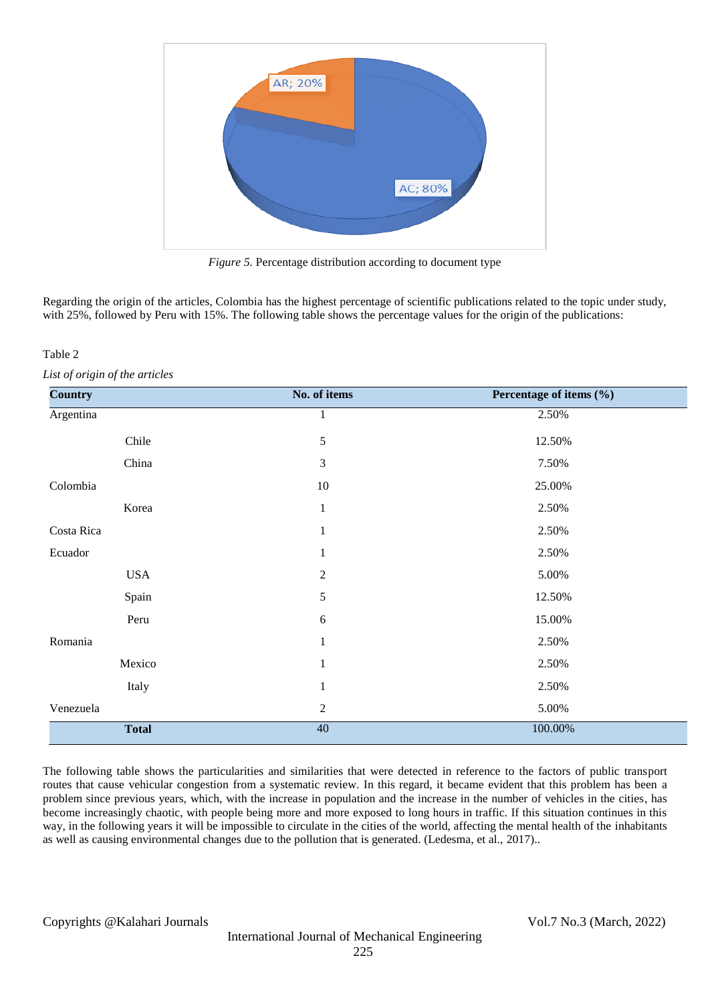

*Figure 5.* Percentage distribution according to document type

Regarding the origin of the articles, Colombia has the highest percentage of scientific publications related to the topic under study, with 25%, followed by Peru with 15%. The following table shows the percentage values for the origin of the publications:

## Table 2

*List of origin of the articles*

| <b>Country</b> | No. of items     | Percentage of items (%) |
|----------------|------------------|-------------------------|
| Argentina      | 1                | 2.50%                   |
| Chile          | $\sqrt{5}$       | 12.50%                  |
| China          | 3                | 7.50%                   |
| Colombia       | $10\,$           | 25.00%                  |
| Korea          | $\mathbf{1}$     | 2.50%                   |
| Costa Rica     | $\mathbf{1}$     | 2.50%                   |
| Ecuador        | 1                | 2.50%                   |
| <b>USA</b>     | $\sqrt{2}$       | 5.00%                   |
| Spain          | 5                | 12.50%                  |
| Peru           | $6\,$            | 15.00%                  |
| Romania        | $\mathbf{1}$     | 2.50%                   |
| Mexico         | $\mathbf{1}$     | 2.50%                   |
| Italy          | 1                | 2.50%                   |
| Venezuela      | $\boldsymbol{2}$ | 5.00%                   |
| <b>Total</b>   | $\overline{40}$  | 100.00%                 |

The following table shows the particularities and similarities that were detected in reference to the factors of public transport routes that cause vehicular congestion from a systematic review. In this regard, it became evident that this problem has been a problem since previous years, which, with the increase in population and the increase in the number of vehicles in the cities, has become increasingly chaotic, with people being more and more exposed to long hours in traffic. If this situation continues in this way, in the following years it will be impossible to circulate in the cities of the world, affecting the mental health of the inhabitants as well as causing environmental changes due to the pollution that is generated. (Ledesma, et al., 2017)..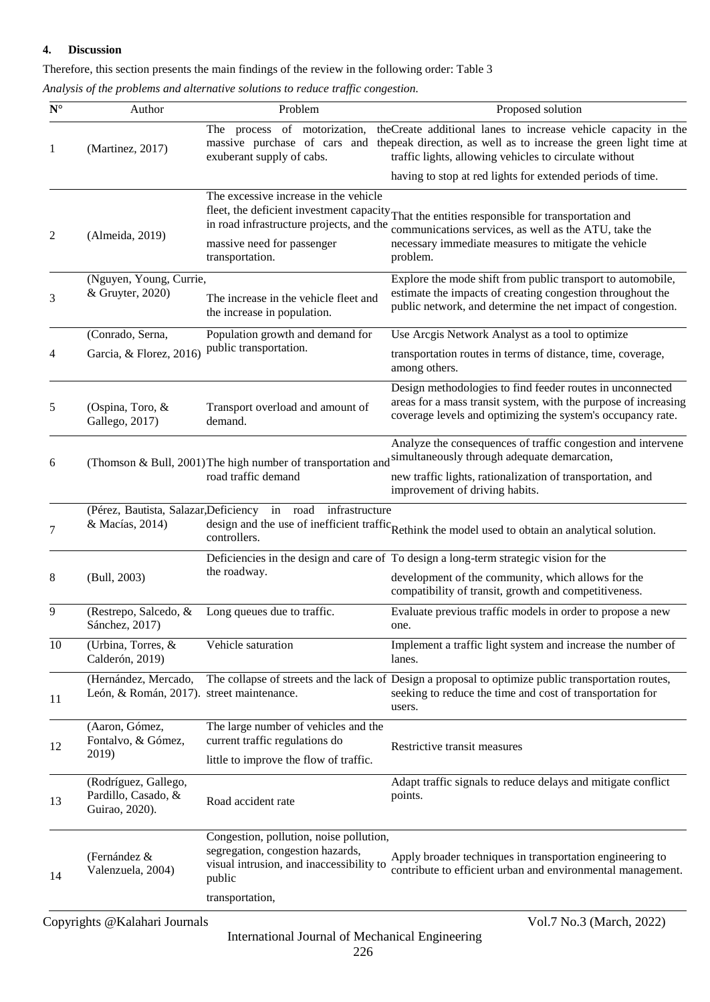#### **4. Discussion**

Therefore, this section presents the main findings of the review in the following order: Table 3

*Analysis of the problems and alternative solutions to reduce traffic congestion.*

| $\mathbf{N}^\circ$ | Author                                                            | Problem                                                                                                                            | Proposed solution                                                                                                                                                                                                          |
|--------------------|-------------------------------------------------------------------|------------------------------------------------------------------------------------------------------------------------------------|----------------------------------------------------------------------------------------------------------------------------------------------------------------------------------------------------------------------------|
| 1                  | (Martinez, 2017)                                                  | The process of motorization,<br>massive purchase of cars and<br>exuberant supply of cabs.                                          | theCreate additional lanes to increase vehicle capacity in the<br>the peak direction, as well as to increase the green light time at<br>traffic lights, allowing vehicles to circulate without                             |
|                    |                                                                   |                                                                                                                                    | having to stop at red lights for extended periods of time.                                                                                                                                                                 |
| 2                  | (Almeida, 2019)                                                   | The excessive increase in the vehicle<br>in road infrastructure projects, and the<br>massive need for passenger<br>transportation. | fleet, the deficient investment capacity That the entities responsible for transportation and<br>communications services, as well as the ATU, take the<br>necessary immediate measures to mitigate the vehicle<br>problem. |
| 3                  | (Nguyen, Young, Currie,<br>& Gruyter, 2020)                       | The increase in the vehicle fleet and<br>the increase in population.                                                               | Explore the mode shift from public transport to automobile,<br>estimate the impacts of creating congestion throughout the<br>public network, and determine the net impact of congestion.                                   |
|                    | (Conrado, Serna,                                                  | Population growth and demand for                                                                                                   | Use Arcgis Network Analyst as a tool to optimize                                                                                                                                                                           |
| 4                  | Garcia, & Florez, 2016)                                           | public transportation.                                                                                                             | transportation routes in terms of distance, time, coverage,<br>among others.                                                                                                                                               |
| 5                  | (Ospina, Toro, &<br>Gallego, 2017)                                | Transport overload and amount of<br>demand.                                                                                        | Design methodologies to find feeder routes in unconnected<br>areas for a mass transit system, with the purpose of increasing<br>coverage levels and optimizing the system's occupancy rate.                                |
| 6                  |                                                                   | (Thomson & Bull, 2001) The high number of transportation and                                                                       | Analyze the consequences of traffic congestion and intervene<br>simultaneously through adequate demarcation,                                                                                                               |
|                    |                                                                   | road traffic demand                                                                                                                | new traffic lights, rationalization of transportation, and<br>improvement of driving habits.                                                                                                                               |
| 7                  | (Pérez, Bautista, Salazar, Deficiency in road<br>& Macías, 2014)  | infrastructure<br>controllers.                                                                                                     | design and the use of inefficient traffic Rethink the model used to obtain an analytical solution.                                                                                                                         |
|                    |                                                                   |                                                                                                                                    | Deficiencies in the design and care of To design a long-term strategic vision for the                                                                                                                                      |
| 8                  | (Bull, 2003)                                                      | the roadway.                                                                                                                       | development of the community, which allows for the<br>compatibility of transit, growth and competitiveness.                                                                                                                |
| 9                  | (Restrepo, Salcedo, &<br>Sánchez, 2017)                           | Long queues due to traffic.                                                                                                        | Evaluate previous traffic models in order to propose a new<br>one.                                                                                                                                                         |
| 10                 | (Urbina, Torres, &<br>Calderón, 2019)                             | Vehicle saturation                                                                                                                 | Implement a traffic light system and increase the number of<br>lanes.                                                                                                                                                      |
| 11                 | (Hernández, Mercado,<br>León, & Román, 2017). street maintenance. |                                                                                                                                    | The collapse of streets and the lack of Design a proposal to optimize public transportation routes,<br>seeking to reduce the time and cost of transportation for<br>users.                                                 |
| 12                 | (Aaron, Gómez,<br>Fontalvo, & Gómez,<br>2019)                     | The large number of vehicles and the<br>current traffic regulations do<br>little to improve the flow of traffic.                   | Restrictive transit measures                                                                                                                                                                                               |
| 13                 | (Rodríguez, Gallego,<br>Pardillo, Casado, &<br>Guirao, 2020).     | Road accident rate                                                                                                                 | Adapt traffic signals to reduce delays and mitigate conflict<br>points.                                                                                                                                                    |
| 14                 | (Fernández &<br>Valenzuela, 2004)                                 | Congestion, pollution, noise pollution,<br>segregation, congestion hazards,<br>visual intrusion, and inaccessibility to<br>public  | Apply broader techniques in transportation engineering to<br>contribute to efficient urban and environmental management.                                                                                                   |
|                    |                                                                   | transportation,                                                                                                                    |                                                                                                                                                                                                                            |
|                    | Copyrights @Kalahari Journals                                     |                                                                                                                                    | Vol.7 No.3 (March, 2022)                                                                                                                                                                                                   |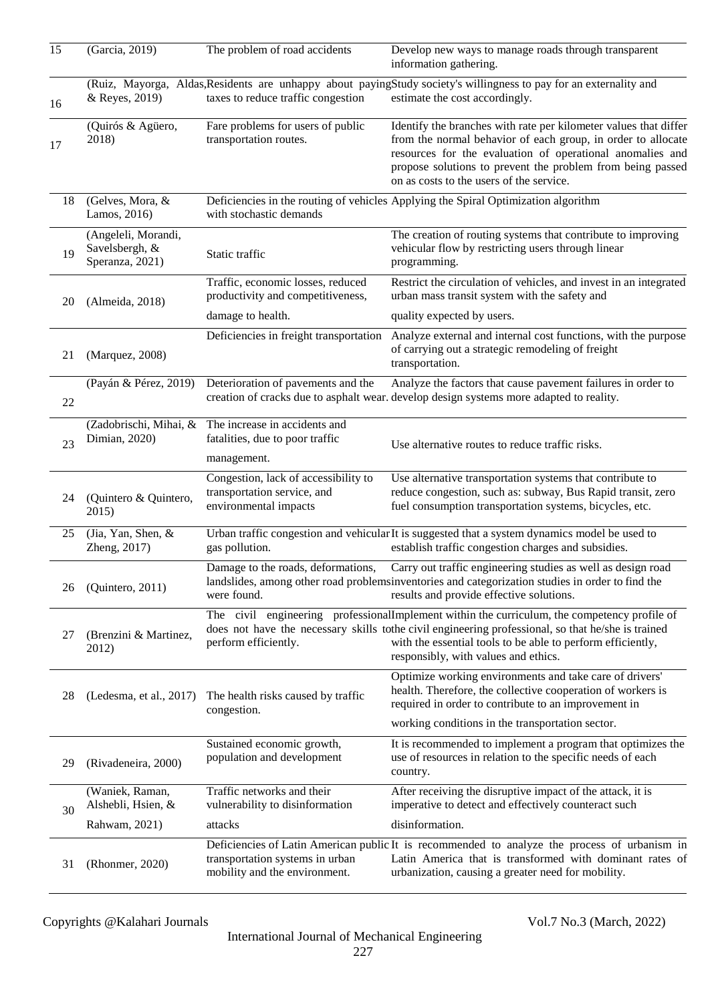| 15 | (Garcia, 2019)                                           | The problem of road accidents                                                                          | Develop new ways to manage roads through transparent<br>information gathering.                                                                                                                                                                                                                             |
|----|----------------------------------------------------------|--------------------------------------------------------------------------------------------------------|------------------------------------------------------------------------------------------------------------------------------------------------------------------------------------------------------------------------------------------------------------------------------------------------------------|
| 16 | & Reyes, 2019)                                           | taxes to reduce traffic congestion                                                                     | (Ruiz, Mayorga, Aldas, Residents are unhappy about paying Study society's willingness to pay for an externality and<br>estimate the cost accordingly.                                                                                                                                                      |
| 17 | (Quirós & Agüero,<br>2018)                               | Fare problems for users of public<br>transportation routes.                                            | Identify the branches with rate per kilometer values that differ<br>from the normal behavior of each group, in order to allocate<br>resources for the evaluation of operational anomalies and<br>propose solutions to prevent the problem from being passed<br>on as costs to the users of the service.    |
| 18 | (Gelves, Mora, &<br>Lamos, 2016)                         | with stochastic demands                                                                                | Deficiencies in the routing of vehicles Applying the Spiral Optimization algorithm                                                                                                                                                                                                                         |
| 19 | (Angeleli, Morandi,<br>Savelsbergh, &<br>Speranza, 2021) | Static traffic                                                                                         | The creation of routing systems that contribute to improving<br>vehicular flow by restricting users through linear<br>programming.                                                                                                                                                                         |
| 20 | (Almeida, 2018)                                          | Traffic, economic losses, reduced<br>productivity and competitiveness,                                 | Restrict the circulation of vehicles, and invest in an integrated<br>urban mass transit system with the safety and                                                                                                                                                                                         |
|    |                                                          | damage to health.                                                                                      | quality expected by users.                                                                                                                                                                                                                                                                                 |
| 21 | (Marquez, 2008)                                          | Deficiencies in freight transportation                                                                 | Analyze external and internal cost functions, with the purpose<br>of carrying out a strategic remodeling of freight<br>transportation.                                                                                                                                                                     |
| 22 | (Payán & Pérez, 2019)                                    | Deterioration of pavements and the                                                                     | Analyze the factors that cause pavement failures in order to<br>creation of cracks due to asphalt wear. develop design systems more adapted to reality.                                                                                                                                                    |
| 23 | Dimian, 2020)                                            | (Zadobrischi, Mihai, & The increase in accidents and<br>fatalities, due to poor traffic<br>management. | Use alternative routes to reduce traffic risks.                                                                                                                                                                                                                                                            |
| 24 | (Quintero & Quintero,<br>2015)                           | Congestion, lack of accessibility to<br>transportation service, and<br>environmental impacts           | Use alternative transportation systems that contribute to<br>reduce congestion, such as: subway, Bus Rapid transit, zero<br>fuel consumption transportation systems, bicycles, etc.                                                                                                                        |
| 25 | (Jia, Yan, Shen, &<br>Zheng, 2017)                       | gas pollution.                                                                                         | Urban traffic congestion and vehicular It is suggested that a system dynamics model be used to<br>establish traffic congestion charges and subsidies.                                                                                                                                                      |
| 26 | (Quintero, 2011)                                         | Damage to the roads, deformations,<br>were found.                                                      | Carry out traffic engineering studies as well as design road<br>landslides, among other road problems inventories and categorization studies in order to find the<br>results and provide effective solutions.                                                                                              |
| 27 | (Brenzini & Martinez,<br>2012)                           | perform efficiently.                                                                                   | The civil engineering professionalImplement within the curriculum, the competency profile of<br>does not have the necessary skills to the civil engineering professional, so that he/she is trained<br>with the essential tools to be able to perform efficiently,<br>responsibly, with values and ethics. |
| 28 | (Ledesma, et al., 2017)                                  | The health risks caused by traffic<br>congestion.                                                      | Optimize working environments and take care of drivers'<br>health. Therefore, the collective cooperation of workers is<br>required in order to contribute to an improvement in                                                                                                                             |
|    |                                                          |                                                                                                        | working conditions in the transportation sector.                                                                                                                                                                                                                                                           |
| 29 | (Rivadeneira, 2000)                                      | Sustained economic growth,<br>population and development                                               | It is recommended to implement a program that optimizes the<br>use of resources in relation to the specific needs of each<br>country.                                                                                                                                                                      |
| 30 | (Waniek, Raman,<br>Alshebli, Hsien, &                    | Traffic networks and their<br>vulnerability to disinformation                                          | After receiving the disruptive impact of the attack, it is<br>imperative to detect and effectively counteract such                                                                                                                                                                                         |
|    | Rahwam, 2021)                                            | attacks                                                                                                | disinformation.                                                                                                                                                                                                                                                                                            |
| 31 | (Rhonmer, 2020)                                          | transportation systems in urban<br>mobility and the environment.                                       | Deficiencies of Latin American public It is recommended to analyze the process of urbanism in<br>Latin America that is transformed with dominant rates of<br>urbanization, causing a greater need for mobility.                                                                                            |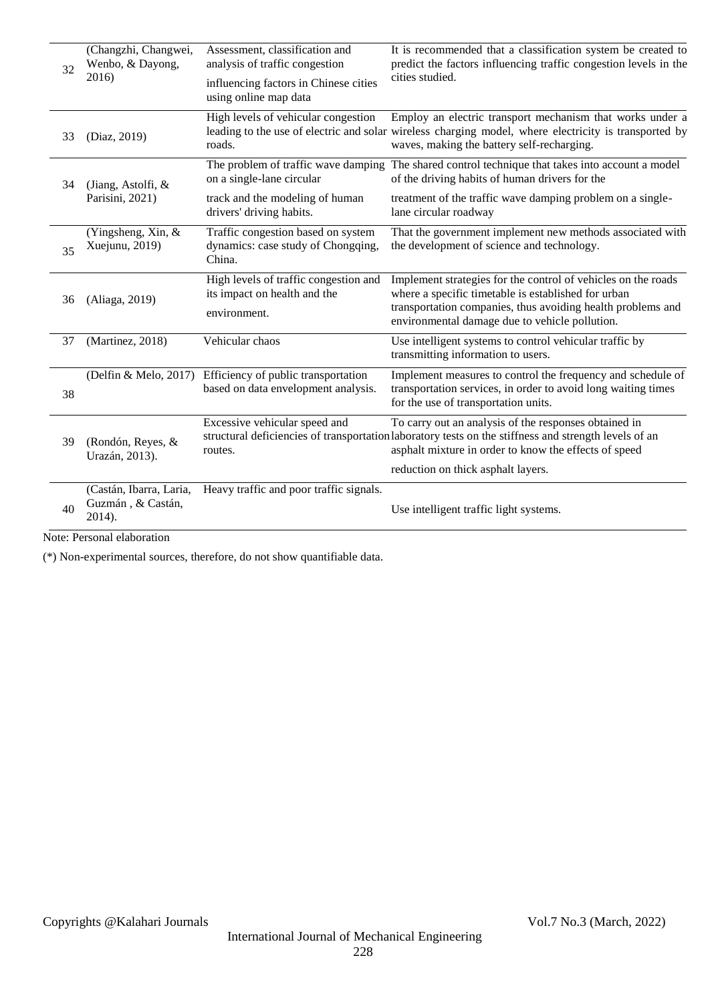| 32 | (Changzhi, Changwei,<br>Wenbo, & Dayong,<br>2016)      | Assessment, classification and<br>analysis of traffic congestion<br>influencing factors in Chinese cities | It is recommended that a classification system be created to<br>predict the factors influencing traffic congestion levels in the<br>cities studied.                                                                                   |
|----|--------------------------------------------------------|-----------------------------------------------------------------------------------------------------------|---------------------------------------------------------------------------------------------------------------------------------------------------------------------------------------------------------------------------------------|
|    |                                                        | using online map data                                                                                     |                                                                                                                                                                                                                                       |
| 33 | (Diaz, 2019)                                           | High levels of vehicular congestion<br>roads.                                                             | Employ an electric transport mechanism that works under a<br>leading to the use of electric and solar wireless charging model, where electricity is transported by<br>waves, making the battery self-recharging.                      |
| 34 | (Jiang, Astolfi, &                                     | on a single-lane circular                                                                                 | The problem of traffic wave damping The shared control technique that takes into account a model<br>of the driving habits of human drivers for the                                                                                    |
|    | Parisini, 2021)                                        | track and the modeling of human<br>drivers' driving habits.                                               | treatment of the traffic wave damping problem on a single-<br>lane circular roadway                                                                                                                                                   |
| 35 | (Yingsheng, Xin, &<br>Xuejunu, 2019)                   | Traffic congestion based on system<br>dynamics: case study of Chongqing,<br>China.                        | That the government implement new methods associated with<br>the development of science and technology.                                                                                                                               |
| 36 | (Aliaga, 2019)                                         | High levels of traffic congestion and<br>its impact on health and the<br>environment.                     | Implement strategies for the control of vehicles on the roads<br>where a specific timetable is established for urban<br>transportation companies, thus avoiding health problems and<br>environmental damage due to vehicle pollution. |
| 37 | (Martinez, 2018)                                       | Vehicular chaos                                                                                           | Use intelligent systems to control vehicular traffic by<br>transmitting information to users.                                                                                                                                         |
| 38 |                                                        | (Delfin & Melo, 2017) Efficiency of public transportation<br>based on data envelopment analysis.          | Implement measures to control the frequency and schedule of<br>transportation services, in order to avoid long waiting times<br>for the use of transportation units.                                                                  |
| 39 | (Rondón, Reyes, &<br>Urazán, 2013).                    | Excessive vehicular speed and<br>routes.                                                                  | To carry out an analysis of the responses obtained in<br>structural deficiencies of transportation laboratory tests on the stiffness and strength levels of an<br>asphalt mixture in order to know the effects of speed               |
|    |                                                        |                                                                                                           | reduction on thick asphalt layers.                                                                                                                                                                                                    |
| 40 | (Castán, Ibarra, Laria,<br>Guzmán, & Castán,<br>2014). | Heavy traffic and poor traffic signals.                                                                   | Use intelligent traffic light systems.                                                                                                                                                                                                |

Note: Personal elaboration

(\*) Non-experimental sources, therefore, do not show quantifiable data.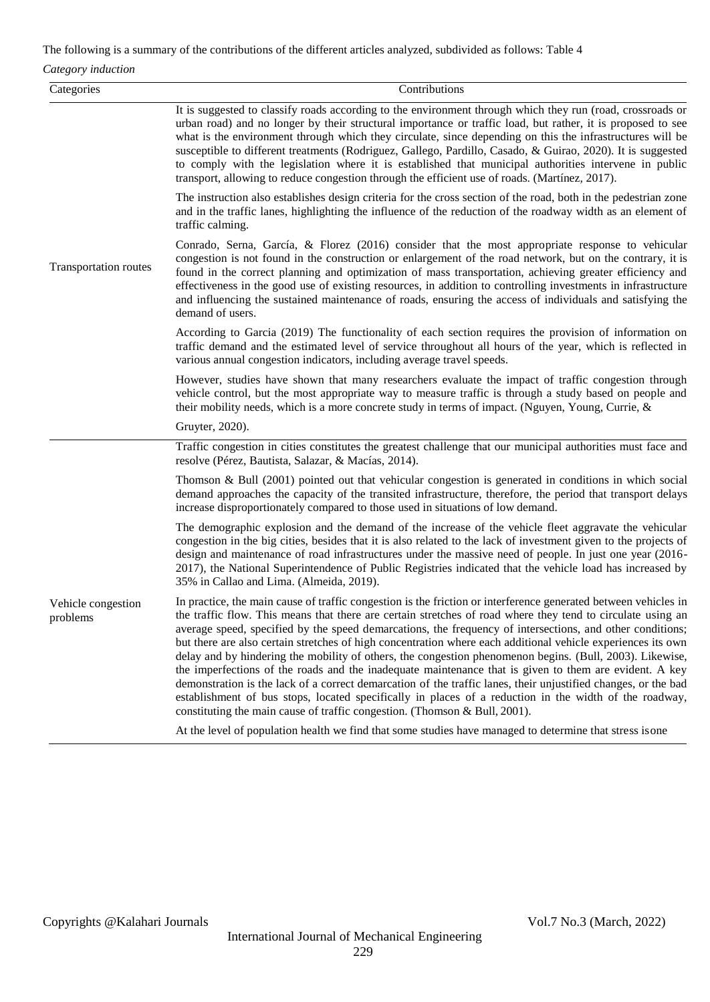The following is a summary of the contributions of the different articles analyzed, subdivided as follows: Table 4

*Category induction*

| Categories                     | Contributions                                                                                                                                                                                                                                                                                                                                                                                                                                                                                                                                                                                                                                                                                                                                                                                                                                                                                                                                                                               |
|--------------------------------|---------------------------------------------------------------------------------------------------------------------------------------------------------------------------------------------------------------------------------------------------------------------------------------------------------------------------------------------------------------------------------------------------------------------------------------------------------------------------------------------------------------------------------------------------------------------------------------------------------------------------------------------------------------------------------------------------------------------------------------------------------------------------------------------------------------------------------------------------------------------------------------------------------------------------------------------------------------------------------------------|
|                                | It is suggested to classify roads according to the environment through which they run (road, crossroads or<br>urban road) and no longer by their structural importance or traffic load, but rather, it is proposed to see<br>what is the environment through which they circulate, since depending on this the infrastructures will be<br>susceptible to different treatments (Rodriguez, Gallego, Pardillo, Casado, & Guirao, 2020). It is suggested<br>to comply with the legislation where it is established that municipal authorities intervene in public<br>transport, allowing to reduce congestion through the efficient use of roads. (Martínez, 2017).                                                                                                                                                                                                                                                                                                                            |
| Transportation routes          | The instruction also establishes design criteria for the cross section of the road, both in the pedestrian zone<br>and in the traffic lanes, highlighting the influence of the reduction of the roadway width as an element of<br>traffic calming.                                                                                                                                                                                                                                                                                                                                                                                                                                                                                                                                                                                                                                                                                                                                          |
|                                | Conrado, Serna, García, & Florez (2016) consider that the most appropriate response to vehicular<br>congestion is not found in the construction or enlargement of the road network, but on the contrary, it is<br>found in the correct planning and optimization of mass transportation, achieving greater efficiency and<br>effectiveness in the good use of existing resources, in addition to controlling investments in infrastructure<br>and influencing the sustained maintenance of roads, ensuring the access of individuals and satisfying the<br>demand of users.                                                                                                                                                                                                                                                                                                                                                                                                                 |
|                                | According to Garcia (2019) The functionality of each section requires the provision of information on<br>traffic demand and the estimated level of service throughout all hours of the year, which is reflected in<br>various annual congestion indicators, including average travel speeds.                                                                                                                                                                                                                                                                                                                                                                                                                                                                                                                                                                                                                                                                                                |
|                                | However, studies have shown that many researchers evaluate the impact of traffic congestion through<br>vehicle control, but the most appropriate way to measure traffic is through a study based on people and<br>their mobility needs, which is a more concrete study in terms of impact. (Nguyen, Young, Currie, &                                                                                                                                                                                                                                                                                                                                                                                                                                                                                                                                                                                                                                                                        |
|                                | Gruyter, 2020).                                                                                                                                                                                                                                                                                                                                                                                                                                                                                                                                                                                                                                                                                                                                                                                                                                                                                                                                                                             |
|                                | Traffic congestion in cities constitutes the greatest challenge that our municipal authorities must face and<br>resolve (Pérez, Bautista, Salazar, & Macías, 2014).                                                                                                                                                                                                                                                                                                                                                                                                                                                                                                                                                                                                                                                                                                                                                                                                                         |
|                                | Thomson & Bull $(2001)$ pointed out that vehicular congestion is generated in conditions in which social<br>demand approaches the capacity of the transited infrastructure, therefore, the period that transport delays<br>increase disproportionately compared to those used in situations of low demand.                                                                                                                                                                                                                                                                                                                                                                                                                                                                                                                                                                                                                                                                                  |
|                                | The demographic explosion and the demand of the increase of the vehicle fleet aggravate the vehicular<br>congestion in the big cities, besides that it is also related to the lack of investment given to the projects of<br>design and maintenance of road infrastructures under the massive need of people. In just one year (2016-<br>2017), the National Superintendence of Public Registries indicated that the vehicle load has increased by<br>35% in Callao and Lima. (Almeida, 2019).                                                                                                                                                                                                                                                                                                                                                                                                                                                                                              |
| Vehicle congestion<br>problems | In practice, the main cause of traffic congestion is the friction or interference generated between vehicles in<br>the traffic flow. This means that there are certain stretches of road where they tend to circulate using an<br>average speed, specified by the speed demarcations, the frequency of intersections, and other conditions;<br>but there are also certain stretches of high concentration where each additional vehicle experiences its own<br>delay and by hindering the mobility of others, the congestion phenomenon begins. (Bull, 2003). Likewise,<br>the imperfections of the roads and the inadequate maintenance that is given to them are evident. A key<br>demonstration is the lack of a correct demarcation of the traffic lanes, their unjustified changes, or the bad<br>establishment of bus stops, located specifically in places of a reduction in the width of the roadway,<br>constituting the main cause of traffic congestion. (Thomson & Bull, 2001). |
|                                | At the level of population health we find that some studies have managed to determine that stress is one                                                                                                                                                                                                                                                                                                                                                                                                                                                                                                                                                                                                                                                                                                                                                                                                                                                                                    |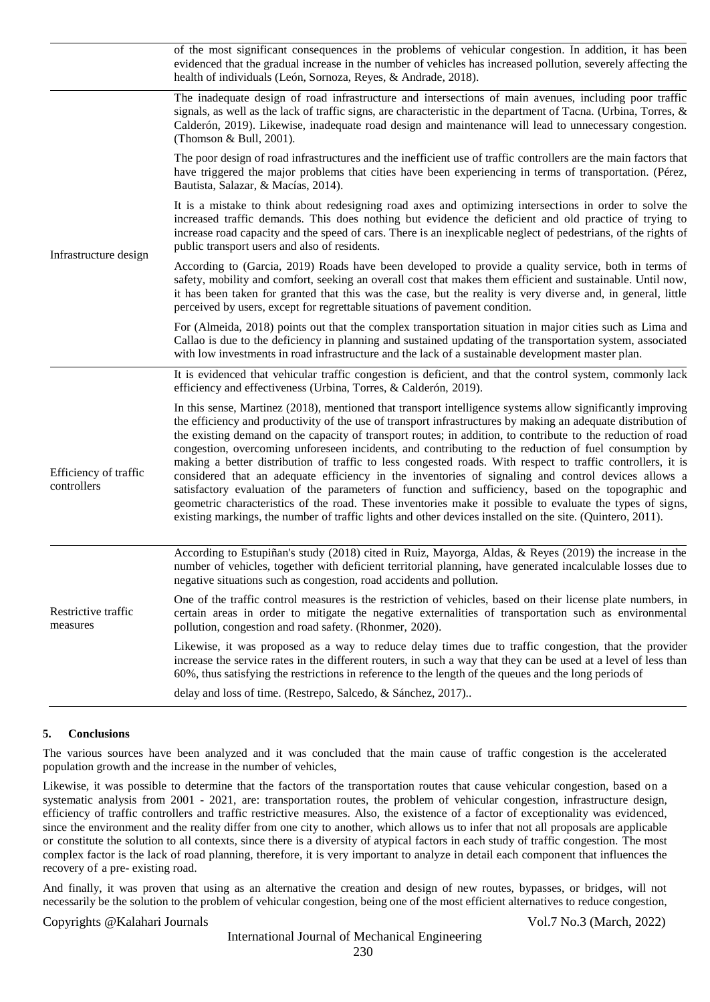|                                      | of the most significant consequences in the problems of vehicular congestion. In addition, it has been<br>evidenced that the gradual increase in the number of vehicles has increased pollution, severely affecting the<br>health of individuals (León, Sornoza, Reyes, & Andrade, 2018).                                                                                                                                                                                                                                                                                                                                                                                                                                                                                                                                                                                                                                                                                                                     |
|--------------------------------------|---------------------------------------------------------------------------------------------------------------------------------------------------------------------------------------------------------------------------------------------------------------------------------------------------------------------------------------------------------------------------------------------------------------------------------------------------------------------------------------------------------------------------------------------------------------------------------------------------------------------------------------------------------------------------------------------------------------------------------------------------------------------------------------------------------------------------------------------------------------------------------------------------------------------------------------------------------------------------------------------------------------|
|                                      | The inadequate design of road infrastructure and intersections of main avenues, including poor traffic<br>signals, as well as the lack of traffic signs, are characteristic in the department of Tacna. (Urbina, Torres, &<br>Calderón, 2019). Likewise, inadequate road design and maintenance will lead to unnecessary congestion.<br>(Thomson & Bull, 2001).                                                                                                                                                                                                                                                                                                                                                                                                                                                                                                                                                                                                                                               |
|                                      | The poor design of road infrastructures and the inefficient use of traffic controllers are the main factors that<br>have triggered the major problems that cities have been experiencing in terms of transportation. (Pérez,<br>Bautista, Salazar, & Macías, 2014).                                                                                                                                                                                                                                                                                                                                                                                                                                                                                                                                                                                                                                                                                                                                           |
| Infrastructure design                | It is a mistake to think about redesigning road axes and optimizing intersections in order to solve the<br>increased traffic demands. This does nothing but evidence the deficient and old practice of trying to<br>increase road capacity and the speed of cars. There is an inexplicable neglect of pedestrians, of the rights of<br>public transport users and also of residents.                                                                                                                                                                                                                                                                                                                                                                                                                                                                                                                                                                                                                          |
|                                      | According to (Garcia, 2019) Roads have been developed to provide a quality service, both in terms of<br>safety, mobility and comfort, seeking an overall cost that makes them efficient and sustainable. Until now,<br>it has been taken for granted that this was the case, but the reality is very diverse and, in general, little<br>perceived by users, except for regrettable situations of pavement condition.                                                                                                                                                                                                                                                                                                                                                                                                                                                                                                                                                                                          |
|                                      | For (Almeida, 2018) points out that the complex transportation situation in major cities such as Lima and<br>Callao is due to the deficiency in planning and sustained updating of the transportation system, associated<br>with low investments in road infrastructure and the lack of a sustainable development master plan.                                                                                                                                                                                                                                                                                                                                                                                                                                                                                                                                                                                                                                                                                |
|                                      | It is evidenced that vehicular traffic congestion is deficient, and that the control system, commonly lack<br>efficiency and effectiveness (Urbina, Torres, & Calderón, 2019).                                                                                                                                                                                                                                                                                                                                                                                                                                                                                                                                                                                                                                                                                                                                                                                                                                |
| Efficiency of traffic<br>controllers | In this sense, Martinez (2018), mentioned that transport intelligence systems allow significantly improving<br>the efficiency and productivity of the use of transport infrastructures by making an adequate distribution of<br>the existing demand on the capacity of transport routes; in addition, to contribute to the reduction of road<br>congestion, overcoming unforeseen incidents, and contributing to the reduction of fuel consumption by<br>making a better distribution of traffic to less congested roads. With respect to traffic controllers, it is<br>considered that an adequate efficiency in the inventories of signaling and control devices allows a<br>satisfactory evaluation of the parameters of function and sufficiency, based on the topographic and<br>geometric characteristics of the road. These inventories make it possible to evaluate the types of signs,<br>existing markings, the number of traffic lights and other devices installed on the site. (Quintero, 2011). |
|                                      | According to Estupiñan's study (2018) cited in Ruiz, Mayorga, Aldas, & Reyes (2019) the increase in the<br>number of vehicles, together with deficient territorial planning, have generated incalculable losses due to<br>negative situations such as congestion, road accidents and pollution.                                                                                                                                                                                                                                                                                                                                                                                                                                                                                                                                                                                                                                                                                                               |
| Restrictive traffic<br>measures      | One of the traffic control measures is the restriction of vehicles, based on their license plate numbers, in<br>certain areas in order to mitigate the negative externalities of transportation such as environmental<br>pollution, congestion and road safety. (Rhonmer, 2020).                                                                                                                                                                                                                                                                                                                                                                                                                                                                                                                                                                                                                                                                                                                              |
|                                      | Likewise, it was proposed as a way to reduce delay times due to traffic congestion, that the provider<br>increase the service rates in the different routers, in such a way that they can be used at a level of less than<br>60%, thus satisfying the restrictions in reference to the length of the queues and the long periods of                                                                                                                                                                                                                                                                                                                                                                                                                                                                                                                                                                                                                                                                           |
|                                      | delay and loss of time. (Restrepo, Salcedo, & Sánchez, 2017)                                                                                                                                                                                                                                                                                                                                                                                                                                                                                                                                                                                                                                                                                                                                                                                                                                                                                                                                                  |

#### **5. Conclusions**

The various sources have been analyzed and it was concluded that the main cause of traffic congestion is the accelerated population growth and the increase in the number of vehicles,

Likewise, it was possible to determine that the factors of the transportation routes that cause vehicular congestion, based on a systematic analysis from 2001 - 2021, are: transportation routes, the problem of vehicular congestion, infrastructure design, efficiency of traffic controllers and traffic restrictive measures. Also, the existence of a factor of exceptionality was evidenced, since the environment and the reality differ from one city to another, which allows us to infer that not all proposals are applicable or constitute the solution to all contexts, since there is a diversity of atypical factors in each study of traffic congestion. The most complex factor is the lack of road planning, therefore, it is very important to analyze in detail each component that influences the recovery of a pre- existing road.

And finally, it was proven that using as an alternative the creation and design of new routes, bypasses, or bridges, will not necessarily be the solution to the problem of vehicular congestion, being one of the most efficient alternatives to reduce congestion,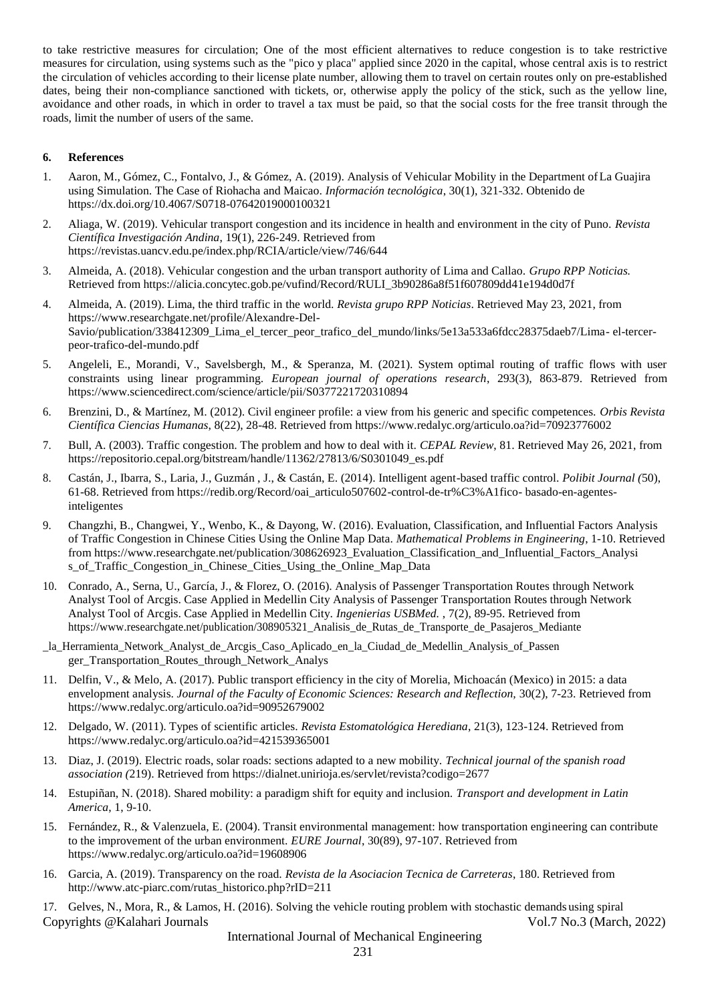to take restrictive measures for circulation; One of the most efficient alternatives to reduce congestion is to take restrictive measures for circulation, using systems such as the "pico y placa" applied since 2020 in the capital, whose central axis is to restrict the circulation of vehicles according to their license plate number, allowing them to travel on certain routes only on pre-established dates, being their non-compliance sanctioned with tickets, or, otherwise apply the policy of the stick, such as the yellow line, avoidance and other roads, in which in order to travel a tax must be paid, so that the social costs for the free transit through the roads, limit the number of users of the same.

#### **6. References**

- 1. Aaron, M., Gómez, C., Fontalvo, J., & Gómez, A. (2019). Analysis of Vehicular Mobility in the Department ofLa Guajira using Simulation. The Case of Riohacha and Maicao. *Información tecnológica*, 30(1), 321-332. Obtenido de https://dx.doi.org/10.4067/S0718-07642019000100321
- 2. Aliaga, W. (2019). Vehicular transport congestion and its incidence in health and environment in the city of Puno. *Revista Científica Investigación Andina*, 19(1), 226-249. Retrieved from https://revistas.uancv.edu.pe/index.php/RCIA/article/view/746/644
- 3. Almeida, A. (2018). Vehicular congestion and the urban transport authority of Lima and Callao. *Grupo RPP Noticias.*  Retrieved from https://alicia.concytec.gob.pe/vufind/Record/RULI\_3b90286a8f51f607809dd41e194d0d7f
- 4. Almeida, A. (2019). Lima, the third traffic in the world. *Revista grupo RPP Noticias*. Retrieved May 23, 2021, from http[s://www.researchgate.net/profile/Alexandre-Del-](http://www.researchgate.net/profile/Alexandre-Del-)Savio/publication/338412309\_Lima\_el\_tercer\_peor\_trafico\_del\_mundo/links/5e13a533a6fdcc28375daeb7/Lima- el-tercerpeor-trafico-del-mundo.pdf
- 5. Angeleli, E., Morandi, V., Savelsbergh, M., & Speranza, M. (2021). System optimal routing of traffic flows with user constraints using linear programming. *European journal of operations research*, 293(3), 863-879. Retrieved from http[s://www.sciencedirect.com/science/article/pii/S0377221720310894](http://www.sciencedirect.com/science/article/pii/S0377221720310894)
- 6. Brenzini, D., & Martínez, M. (2012). Civil engineer profile: a view from his generic and specific competences. *Orbis Revista Científica Ciencias Humanas*, 8(22), 28-48. Retrieved from http[s://www.r](http://www.redalyc.org/articulo.oa?id=70923776002)e[dalyc.org/articulo.oa?id=70923776002](http://www.redalyc.org/articulo.oa?id=70923776002)
- 7. Bull, A. (2003). Traffic congestion. The problem and how to deal with it. *CEPAL Review*, 81. Retrieved May 26, 2021, from https://repositorio.cepal.org/bitstream/handle/11362/27813/6/S0301049\_es.pdf
- 8. Castán, J., Ibarra, S., Laria, J., Guzmán , J., & Castán, E. (2014). Intelligent agent-based traffic control. *Polibit Journal (*50), 61-68. Retrieved from https://redib.org/Record/oai\_articulo507602-control-de-tr%C3%A1fico- basado-en-agentesinteligentes
- 9. Changzhi, B., Changwei, Y., Wenbo, K., & Dayong, W. (2016). Evaluation, Classification, and Influential Factors Analysis of Traffic Congestion in Chinese Cities Using the Online Map Data. *Mathematical Problems in Engineering*, 1-10. Retrieved from http[s://www.researchgate.net/publication/308626923\\_Evaluation\\_Classification\\_and\\_Influential\\_Factors\\_Analysi](http://www.researchgate.net/publication/308626923_Evaluation_Classification_and_Influential_Factors_Analysi) s\_of\_Traffic\_Congestion\_in\_Chinese\_Cities\_Using\_the\_Online\_Map\_Data
- 10. Conrado, A., Serna, U., García, J., & Florez, O. (2016). Analysis of Passenger Transportation Routes through Network Analyst Tool of Arcgis. Case Applied in Medellin City Analysis of Passenger Transportation Routes through Network Analyst Tool of Arcgis. Case Applied in Medellin City. *Ingenierias USBMed.* , 7(2), 89-95. Retrieved from https://www.researchgate.net/publication/308905321 Analisis de Rutas de Transporte de Pasajeros Mediante
- \_la\_Herramienta\_Network\_Analyst\_de\_Arcgis\_Caso\_Aplicado\_en\_la\_Ciudad\_de\_Medellin\_Analysis\_of\_Passen ger\_Transportation\_Routes\_through\_Network\_Analys
- 11. Delfin, V., & Melo, A. (2017). Public transport efficiency in the city of Morelia, Michoacán (Mexico) in 2015: a data envelopment analysis. *Journal of the Faculty of Economic Sciences: Research and Reflection*, 30(2), 7-23. Retrieved from http[s://www.r](http://www.redalyc.org/articulo.oa?id=90952679002)e[dalyc.org/articulo.oa?id=90952679002](http://www.redalyc.org/articulo.oa?id=90952679002)
- 12. Delgado, W. (2011). Types of scientific articles. *Revista Estomatológica Herediana*, 21(3), 123-124. Retrieved from http[s://www.r](http://www.redalyc.org/articulo.oa?id=421539365001)e[dalyc.org/articulo.oa?id=421539365001](http://www.redalyc.org/articulo.oa?id=421539365001)
- 13. Diaz, J. (2019). Electric roads, solar roads: sections adapted to a new mobility. *Technical journal of the spanish road association (*219). Retrieved from https://dialnet.unirioja.es/servlet/revista?codigo=2677
- 14. Estupiñan, N. (2018). Shared mobility: a paradigm shift for equity and inclusion. *Transport and development in Latin America*, 1, 9-10.
- 15. Fernández, R., & Valenzuela, E. (2004). Transit environmental management: how transportation engineering can contribute to the improvement of the urban environment. *EURE Journal*, 30(89), 97-107. Retrieved from http[s://www.r](http://www.redalyc.org/articulo.oa?id=19608906)e[dalyc.org/articulo.oa?id=19608906](http://www.redalyc.org/articulo.oa?id=19608906)
- 16. Garcia, A. (2019). Transparency on the road. *Revista de la Asociacion Tecnica de Carreteras*, 180. Retrieved from [http://www.atc-piarc.com/rutas\\_historico.php?rID=211](http://www.atc-piarc.com/rutas_historico.php?rID=211)
- Copyrights @Kalahari Journals Vol.7 No.3 (March, 2022) 17. Gelves, N., Mora, R., & Lamos, H. (2016). Solving the vehicle routing problem with stochastic demands using spiral

International Journal of Mechanical Engineering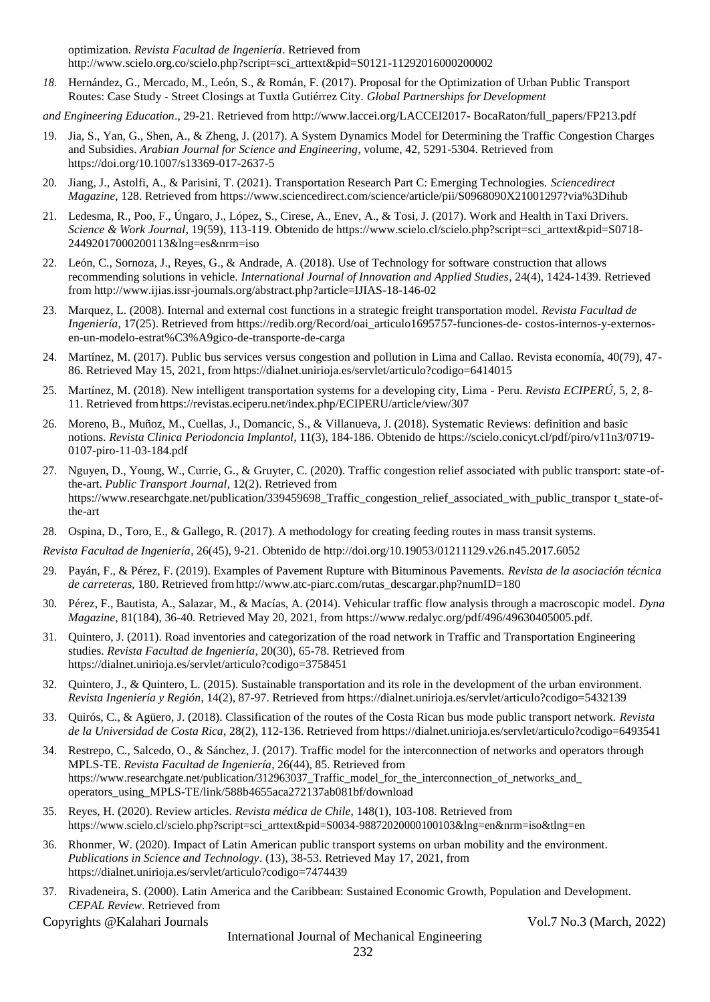optimization. *Revista Facultad de Ingeniería*. Retrieved fro[m](http://www.scielo.org.co/scielo.php?script=sci_arttext&pid=S0121-11292016000200002) [http://www.scielo.org.co/scielo.php?script=sci\\_arttext&pid=S0121-11292016000200002](http://www.scielo.org.co/scielo.php?script=sci_arttext&pid=S0121-11292016000200002)

*18.* Hernández, G., Mercado, M., León, S., & Román, F. (2017). Proposal for the Optimization of Urban Public Transport Routes: Case Study - Street Closings at Tuxtla Gutiérrez City. *Global Partnerships for Development*

*and Engineering Education*., 29-21. Retrieved fro[m http://www.laccei.org/LACCEI2017-](http://www.laccei.org/LACCEI2017-) BocaRaton/full\_papers/FP213.pdf

- 19. Jia, S., Yan, G., Shen, A., & Zheng, J. (2017). A System Dynamics Model for Determining the Traffic Congestion Charges and Subsidies. *Arabian Journal for Science and Engineering*, volume, 42, 5291-5304. Retrieved from https://doi.org/10.1007/s13369-017-2637-5
- 20. Jiang, J., Astolfi, A., & Parisini, T. (2021). Transportation Research Part C: Emerging Technologies. *Sciencedirect Magazine*, 128. Retrieved from http[s://www.sciencedirect.com/science/article/pii/S0968090X21001297?via%3Dihub](http://www.sciencedirect.com/science/article/pii/S0968090X21001297?via%3Dihub)
- 21. Ledesma, R., Poo, F., Úngaro, J., López, S., Cirese, A., Enev, A., & Tosi, J. (2017). Work and Health inTaxi Drivers. *Science & Work Journal*, 19(59), 113-119. Obtenido de http[s://www.scielo.cl/scielo.php?script=sci\\_arttext&pid=S0718-](http://www.scielo.cl/scielo.php?script=sci_arttext&pid=S0718-24492017000200113&lng=es&nrm=iso) [24492017000200113&lng=es&nrm=iso](http://www.scielo.cl/scielo.php?script=sci_arttext&pid=S0718-24492017000200113&lng=es&nrm=iso)
- 22. León, C., Sornoza, J., Reyes, G., & Andrade, A. (2018). Use of Technology for software construction that allows recommending solutions in vehicle. *International Journal of Innovation and Applied Studies*, 24(4), 1424-1439. Retrieved from <http://www.ijias.issr-journals.org/abstract.php?article=IJIAS-18-146-02>
- 23. Marquez, L. (2008). Internal and external cost functions in a strategic freight transportation model. *Revista Facultad de Ingeniería*, 17(25). Retrieved from https://redib.org/Record/oai\_articulo1695757-funciones-de- costos-internos-y-externosen-un-modelo-estrat%C3%A9gico-de-transporte-de-carga
- 24. Martínez, M. (2017). Public bus services versus congestion and pollution in Lima and Callao. Revista economía, 40(79), 47- 86. Retrieved May 15, 2021, from https://dialnet.unirioja.es/servlet/articulo?codigo=6414015
- 25. Martínez, M. (2018). New intelligent transportation systems for a developing city, Lima Peru. *Revista ECIPERÚ*, 5, 2, 8- 11. Retrieved fromhttps://revistas.eciperu.net/index.php/ECIPERU/article/view/307
- 26. Moreno, B., Muñoz, M., Cuellas, J., Domancic, S., & Villanueva, J. (2018). Systematic Reviews: definition and basic notions. *Revista Clinica Periodoncia Implantol*, 11(3), 184-186. Obtenido de https://scielo.conicyt.cl/pdf/piro/v11n3/0719- 0107-piro-11-03-184.pdf
- 27. Nguyen, D., Young, W., Currie, G., & Gruyter, C. (2020). Traffic congestion relief associated with public transport: state-ofthe-art. *Public Transport Journal*, 12(2). Retrieved from http[s://www.researchgate.net/publication/339459698\\_Traffic\\_congestion\\_relief\\_associated\\_with\\_public\\_transpor](http://www.researchgate.net/publication/339459698_Traffic_congestion_relief_associated_with_public_transpor) t\_state-ofthe-art
- 28. Ospina, D., Toro, E., & Gallego, R. (2017). A methodology for creating feeding routes in mass transit systems.

*Revista Facultad de Ingeniería*, 26(45), 9-21. Obtenido de<http://doi.org/10.19053/01211129.v26.n45.2017.6052>

- 29. Payán, F., & Pérez, F. (2019). Examples of Pavement Rupture with Bituminous Pavements. *Revista de la asociación técnica de carreteras,* 180. Retrieved fro[mhttp://www.atc-piarc.com/rutas\\_descargar.php?numID=180](http://www.atc-piarc.com/rutas_descargar.php?numID=180)
- 30. Pérez, F., Bautista, A., Salazar, M., & Macías, A. (2014). Vehicular traffic flow analysis through a macroscopic model. *Dyna Magazine*, 81(184), 36-40. Retrieved May 20, 2021, from http[s://www.r](http://www.redalyc.org/pdf/496/49630405005.pdf)e[dalyc.org/pdf/496/49630405005.pdf.](http://www.redalyc.org/pdf/496/49630405005.pdf)
- 31. Quintero, J. (2011). Road inventories and categorization of the road network in Traffic and Transportation Engineering studies. *Revista Facultad de Ingeniería*, 20(30), 65-78. Retrieved from https://dialnet.unirioja.es/servlet/articulo?codigo=3758451
- 32. Quintero, J., & Quintero, L. (2015). Sustainable transportation and its role in the development of the urban environment. *Revista Ingeniería y Región*, 14(2), 87-97. Retrieved from https://dialnet.unirioja.es/servlet/articulo?codigo=5432139
- 33. Quirós, C., & Agüero, J. (2018). Classification of the routes of the Costa Rican bus mode public transport network. *Revista de la Universidad de Costa Rica*, 28(2), 112-136. Retrieved from https://dialnet.unirioja.es/servlet/articulo?codigo=6493541
- 34. Restrepo, C., Salcedo, O., & Sánchez, J. (2017). Traffic model for the interconnection of networks and operators through MPLS-TE. *Revista Facultad de Ingeniería*, 26(44), 85. Retrieved from http[s://www.researchgate.net/publication/312963037\\_Traffic\\_model\\_for\\_the\\_interconnection\\_of\\_networks\\_and\\_](http://www.researchgate.net/publication/312963037_Traffic_model_for_the_interconnection_of_networks_and_) operators\_using\_MPLS-TE/link/588b4655aca272137ab081bf/download
- 35. Reyes, H. (2020). Review articles. *Revista médica de Chile*, 148(1), 103-108. Retrieved from http[s://www.scielo.cl/scielo.php?script=sci\\_arttext&pid=S0034-98872020000100103&lng=en&nrm=iso&tlng=en](http://www.scielo.cl/scielo.php?script=sci_arttext&pid=S0034-98872020000100103&lng=en&nrm=iso&tlng=en)
- 36. Rhonmer, W. (2020). Impact of Latin American public transport systems on urban mobility and the environment. *Publications in Science and Technology*. (13), 38-53. Retrieved May 17, 2021, from https://dialnet.unirioja.es/servlet/articulo?codigo=7474439
- 37. Rivadeneira, S. (2000). Latin America and the Caribbean: Sustained Economic Growth, Population and Development. *CEPAL Review*. Retrieved from